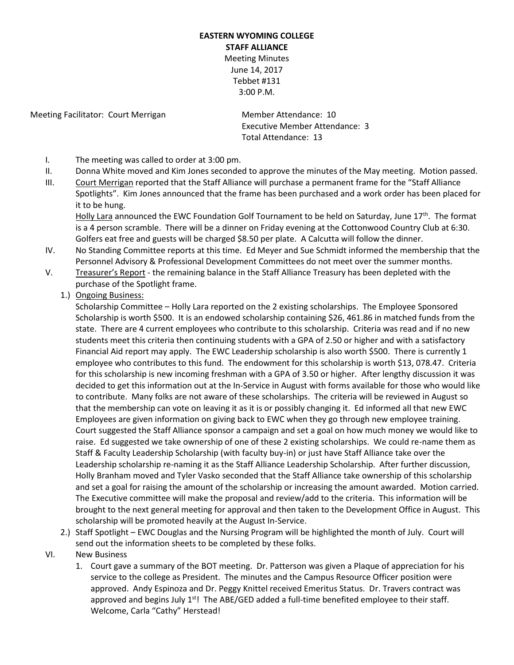## **EASTERN WYOMING COLLEGE STAFF ALLIANCE** Meeting Minutes June 14, 2017 Tebbet #131

3:00 P.M.

Meeting Facilitator: Court Merrigan Member Attendance: 10

Executive Member Attendance: 3 Total Attendance: 13

- I. The meeting was called to order at 3:00 pm.
- II. Donna White moved and Kim Jones seconded to approve the minutes of the May meeting. Motion passed.
- III. Court Merrigan reported that the Staff Alliance will purchase a permanent frame for the "Staff Alliance Spotlights". Kim Jones announced that the frame has been purchased and a work order has been placed for it to be hung.

Holly Lara announced the EWC Foundation Golf Tournament to be held on Saturday, June  $17<sup>th</sup>$ . The format is a 4 person scramble. There will be a dinner on Friday evening at the Cottonwood Country Club at 6:30. Golfers eat free and guests will be charged \$8.50 per plate. A Calcutta will follow the dinner.

- IV. No Standing Committee reports at this time. Ed Meyer and Sue Schmidt informed the membership that the Personnel Advisory & Professional Development Committees do not meet over the summer months.
- V. Treasurer's Report the remaining balance in the Staff Alliance Treasury has been depleted with the purchase of the Spotlight frame.
	- 1.) Ongoing Business:

Scholarship Committee – Holly Lara reported on the 2 existing scholarships. The Employee Sponsored Scholarship is worth \$500. It is an endowed scholarship containing \$26, 461.86 in matched funds from the state. There are 4 current employees who contribute to this scholarship. Criteria was read and if no new students meet this criteria then continuing students with a GPA of 2.50 or higher and with a satisfactory Financial Aid report may apply. The EWC Leadership scholarship is also worth \$500. There is currently 1 employee who contributes to this fund. The endowment for this scholarship is worth \$13, 078.47. Criteria for this scholarship is new incoming freshman with a GPA of 3.50 or higher. After lengthy discussion it was decided to get this information out at the In-Service in August with forms available for those who would like to contribute. Many folks are not aware of these scholarships. The criteria will be reviewed in August so that the membership can vote on leaving it as it is or possibly changing it. Ed informed all that new EWC Employees are given information on giving back to EWC when they go through new employee training. Court suggested the Staff Alliance sponsor a campaign and set a goal on how much money we would like to raise. Ed suggested we take ownership of one of these 2 existing scholarships. We could re-name them as Staff & Faculty Leadership Scholarship (with faculty buy-in) or just have Staff Alliance take over the Leadership scholarship re-naming it as the Staff Alliance Leadership Scholarship. After further discussion, Holly Branham moved and Tyler Vasko seconded that the Staff Alliance take ownership of this scholarship and set a goal for raising the amount of the scholarship or increasing the amount awarded. Motion carried. The Executive committee will make the proposal and review/add to the criteria. This information will be brought to the next general meeting for approval and then taken to the Development Office in August. This scholarship will be promoted heavily at the August In-Service.

- 2.) Staff Spotlight EWC Douglas and the Nursing Program will be highlighted the month of July. Court will send out the information sheets to be completed by these folks.
- VI. New Business
	- 1. Court gave a summary of the BOT meeting. Dr. Patterson was given a Plaque of appreciation for his service to the college as President. The minutes and the Campus Resource Officer position were approved. Andy Espinoza and Dr. Peggy Knittel received Emeritus Status. Dr. Travers contract was approved and begins July  $1<sup>st</sup>$ ! The ABE/GED added a full-time benefited employee to their staff. Welcome, Carla "Cathy" Herstead!